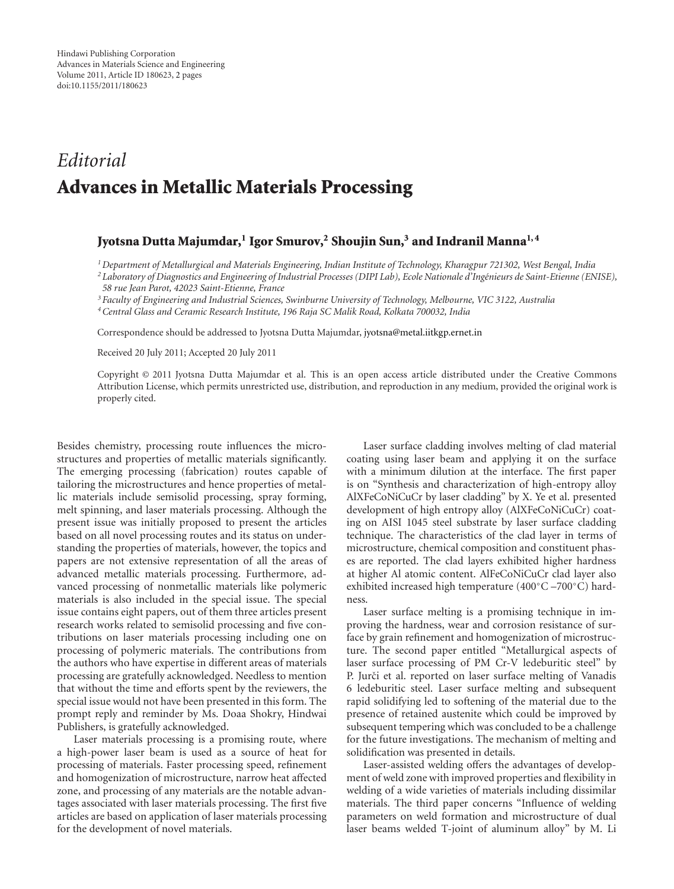## *Editorial* **Advances in Metallic Materials Processing**

## **Jyotsna Dutta Majumdar,1 Igor Smurov,2 Shoujin Sun,3 and Indranil Manna1, 4**

*1Department of Metallurgical and Materials Engineering, Indian Institute of Technology, Kharagpur 721302, West Bengal, India*

*<sup>2</sup> Laboratory of Diagnostics and Engineering of Industrial Processes (DIPI Lab), Ecole Nationale d'Ing´enieurs de Saint-Etienne (ENISE), 58 rue Jean Parot, 42023 Saint-Etienne, France*

*<sup>3</sup> Faculty of Engineering and Industrial Sciences, Swinburne University of Technology, Melbourne, VIC 3122, Australia*

*4Central Glass and Ceramic Research Institute, 196 Raja SC Malik Road, Kolkata 700032, India*

Correspondence should be addressed to Jyotsna Dutta Majumdar, jyotsna@metal.iitkgp.ernet.in

Received 20 July 2011; Accepted 20 July 2011

Copyright © 2011 Jyotsna Dutta Majumdar et al. This is an open access article distributed under the Creative Commons Attribution License, which permits unrestricted use, distribution, and reproduction in any medium, provided the original work is properly cited.

Besides chemistry, processing route influences the microstructures and properties of metallic materials significantly. The emerging processing (fabrication) routes capable of tailoring the microstructures and hence properties of metallic materials include semisolid processing, spray forming, melt spinning, and laser materials processing. Although the present issue was initially proposed to present the articles based on all novel processing routes and its status on understanding the properties of materials, however, the topics and papers are not extensive representation of all the areas of advanced metallic materials processing. Furthermore, advanced processing of nonmetallic materials like polymeric materials is also included in the special issue. The special issue contains eight papers, out of them three articles present research works related to semisolid processing and five contributions on laser materials processing including one on processing of polymeric materials. The contributions from the authors who have expertise in different areas of materials processing are gratefully acknowledged. Needless to mention that without the time and efforts spent by the reviewers, the special issue would not have been presented in this form. The prompt reply and reminder by Ms. Doaa Shokry, Hindwai Publishers, is gratefully acknowledged.

Laser materials processing is a promising route, where a high-power laser beam is used as a source of heat for processing of materials. Faster processing speed, refinement and homogenization of microstructure, narrow heat affected zone, and processing of any materials are the notable advantages associated with laser materials processing. The first five articles are based on application of laser materials processing for the development of novel materials.

Laser surface cladding involves melting of clad material coating using laser beam and applying it on the surface with a minimum dilution at the interface. The first paper is on "Synthesis and characterization of high-entropy alloy AlXFeCoNiCuCr by laser cladding" by X. Ye et al. presented development of high entropy alloy (AlXFeCoNiCuCr) coating on AISI 1045 steel substrate by laser surface cladding technique. The characteristics of the clad layer in terms of microstructure, chemical composition and constituent phases are reported. The clad layers exhibited higher hardness at higher Al atomic content. AlFeCoNiCuCr clad layer also exhibited increased high temperature (400◦C –700◦C) hardness.

Laser surface melting is a promising technique in improving the hardness, wear and corrosion resistance of surface by grain refinement and homogenization of microstructure. The second paper entitled "Metallurgical aspects of laser surface processing of PM Cr-V ledeburitic steel" by P. Jurči et al. reported on laser surface melting of Vanadis 6 ledeburitic steel. Laser surface melting and subsequent rapid solidifying led to softening of the material due to the presence of retained austenite which could be improved by subsequent tempering which was concluded to be a challenge for the future investigations. The mechanism of melting and solidification was presented in details.

Laser-assisted welding offers the advantages of development of weld zone with improved properties and flexibility in welding of a wide varieties of materials including dissimilar materials. The third paper concerns "Influence of welding parameters on weld formation and microstructure of dual laser beams welded T-joint of aluminum alloy" by M. Li